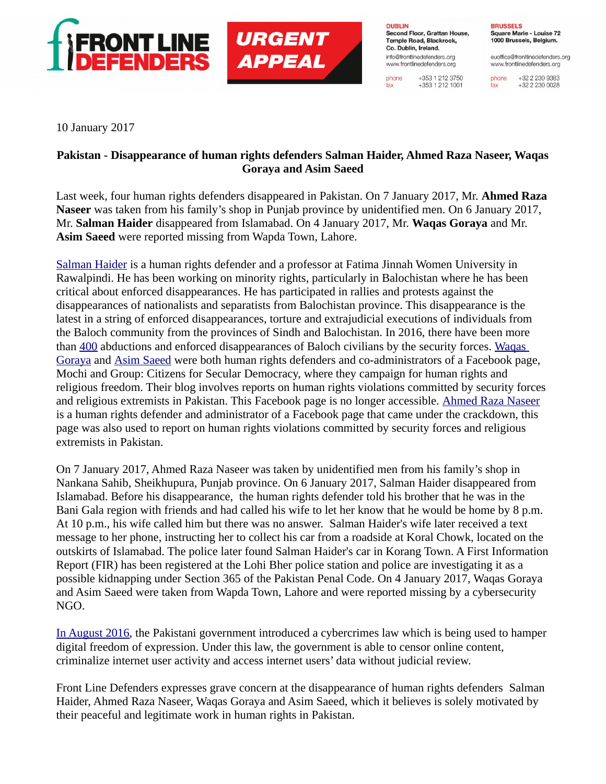

**URGENT APPEAL** 

**DUBLIN** Second Floor, Grattan House, Temple Road, Blackrock. Co. Dublin, Ireland. info@frontlinedefenders.org www.frontlinedefenders.org

+353 1 212 3750 phone  $+353$  1 212 1001 fax

**BRUSSELS** Square Marie - Louise 72 1000 Brussels, Belgium.

euoffice@frontlinedefenders.org www.frontlinedefenders.org

+32 2 230 9383 phone +32 2 230 0028 fax

10 January 2017

## **Pakistan - Disappearance of human rights defenders Salman Haider, Ahmed Raza Naseer, Waqas Goraya and Asim Saeed**

Last week, four human rights defenders disappeared in Pakistan. On 7 January 2017, Mr. **Ahmed Raza Naseer** was taken from his family's shop in Punjab province by unidentified men. On 6 January 2017, Mr. **Salman Haider** disappeared from Islamabad. On 4 January 2017, Mr. **Waqas Goraya** and Mr. **Asim Saeed** were reported missing from Wapda Town, Lahore.

[Salman Haider](https://www.frontlinedefenders.org/en/profile/salman-haider) is a human rights defender and a professor at Fatima Jinnah Women University in Rawalpindi. He has been working on minority rights, particularly in Balochistan where he has been critical about enforced disappearances. He has participated in rallies and protests against the disappearances of nationalists and separatists from Balochistan province. This disappearance is the latest in a string of enforced disappearances, torture and extrajudicial executions of individuals from the Baloch community from the provinces of Sindh and Balochistan. In 2016, there have been more than [400](http://hakkpaan.org/missing-persons/) abductions and enforced disappearances of Baloch civilians by the security forces. [Waqas](https://www.frontlinedefenders.org/en/profile/waqas-goraya)  [Goraya](https://www.frontlinedefenders.org/en/profile/waqas-goraya) and [Asim Saeed](https://www.frontlinedefenders.org/en/profile/asim-saeed) were both human rights defenders and co-administrators of a Facebook page, Mochi and Group: Citizens for Secular Democracy, where they campaign for human rights and religious freedom. Their blog involves reports on human rights violations committed by security forces and religious extremists in Pakistan. This Facebook page is no longer accessible. [Ahmed Raza Naseer](https://www.frontlinedefenders.org/en/profile/ahmed-raza-naseer) is a human rights defender and administrator of a Facebook page that came under the crackdown, this page was also used to report on human rights violations committed by security forces and religious extremists in Pakistan.

On 7 January 2017, Ahmed Raza Naseer was taken by unidentified men from his family's shop in Nankana Sahib, Sheikhupura, Punjab province. On 6 January 2017, Salman Haider disappeared from Islamabad. Before his disappearance, the human rights defender told his brother that he was in the Bani Gala region with friends and had called his wife to let her know that he would be home by 8 p.m. At 10 p.m., his wife called him but there was no answer. Salman Haider's wife later received a text message to her phone, instructing her to collect his car from a roadside at Koral Chowk, located on the outskirts of Islamabad. The police later found Salman Haider's car in Korang Town. A First Information Report (FIR) has been registered at the Lohi Bher police station and police are investigating it as a possible kidnapping under Section 365 of the Pakistan Penal Code. On 4 January 2017, Waqas Goraya and Asim Saeed were taken from Wapda Town, Lahore and were reported missing by a cybersecurity NGO.

[In August 2016,](https://www.frontlinedefenders.org/en/digital-security-july-2016) the Pakistani government introduced a cybercrimes law which is being used to hamper digital freedom of expression. Under this law, the government is able to censor online content, criminalize internet user activity and access internet users' data without judicial review.

Front Line Defenders expresses grave concern at the disappearance of human rights defenders Salman Haider, Ahmed Raza Naseer, Waqas Goraya and Asim Saeed, which it believes is solely motivated by their peaceful and legitimate work in human rights in Pakistan.